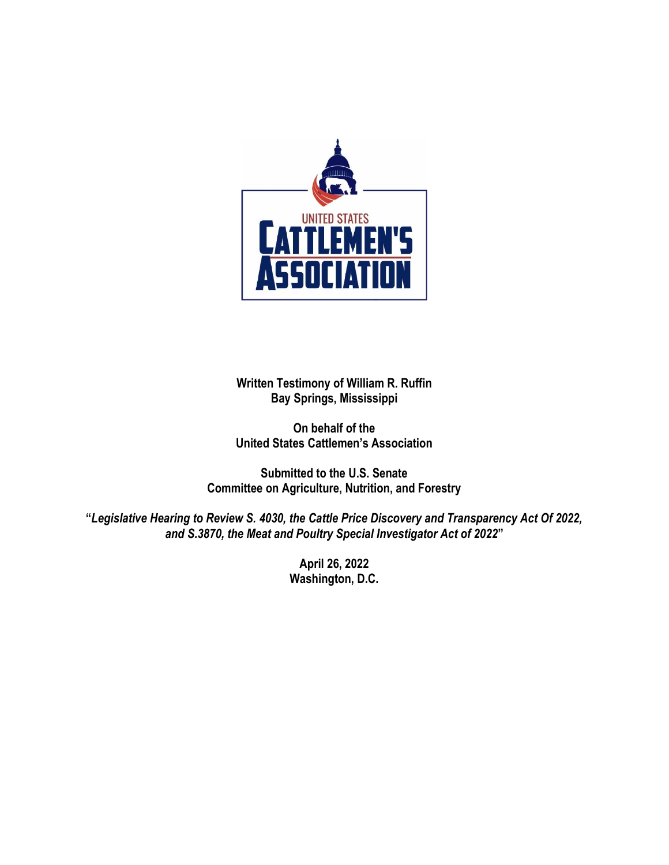

**Written Testimony of William R. Ruffin Bay Springs, Mississippi**

**On behalf of the United States Cattlemen's Association** 

**Submitted to the U.S. Senate Committee on Agriculture, Nutrition, and Forestry**

**"***Legislative Hearing to Review S. 4030, the Cattle Price Discovery and Transparency Act Of 2022, and S.3870, the Meat and Poultry Special Investigator Act of 2022***"**

> **April 26, 2022 Washington, D.C.**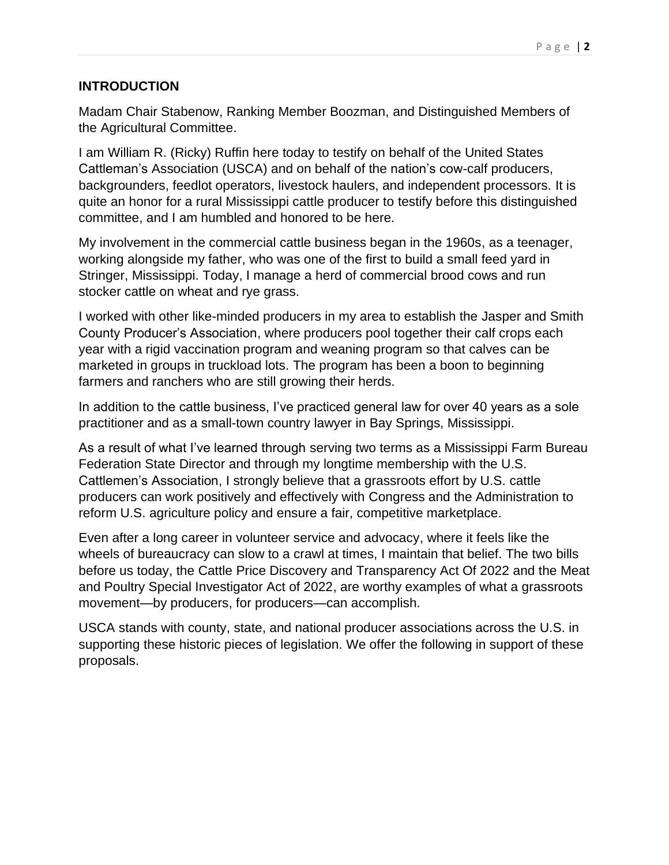## **INTRODUCTION**

Madam Chair Stabenow, Ranking Member Boozman, and Distinguished Members of the Agricultural Committee.

I am William R. (Ricky) Ruffin here today to testify on behalf of the United States Cattleman's Association (USCA) and on behalf of the nation's cow-calf producers, backgrounders, feedlot operators, livestock haulers, and independent processors. It is quite an honor for a rural Mississippi cattle producer to testify before this distinguished committee, and I am humbled and honored to be here.

My involvement in the commercial cattle business began in the 1960s, as a teenager, working alongside my father, who was one of the first to build a small feed yard in Stringer, Mississippi. Today, I manage a herd of commercial brood cows and run stocker cattle on wheat and rye grass.

I worked with other like-minded producers in my area to establish the Jasper and Smith County Producer's Association, where producers pool together their calf crops each year with a rigid vaccination program and weaning program so that calves can be marketed in groups in truckload lots. The program has been a boon to beginning farmers and ranchers who are still growing their herds.

In addition to the cattle business, I've practiced general law for over 40 years as a sole practitioner and as a small-town country lawyer in Bay Springs, Mississippi.

As a result of what I've learned through serving two terms as a Mississippi Farm Bureau Federation State Director and through my longtime membership with the U.S. Cattlemen's Association, I strongly believe that a grassroots effort by U.S. cattle producers can work positively and effectively with Congress and the Administration to reform U.S. agriculture policy and ensure a fair, competitive marketplace.

Even after a long career in volunteer service and advocacy, where it feels like the wheels of bureaucracy can slow to a crawl at times, I maintain that belief. The two bills before us today, the Cattle Price Discovery and Transparency Act Of 2022 and the Meat and Poultry Special Investigator Act of 2022, are worthy examples of what a grassroots movement—by producers, for producers—can accomplish.

USCA stands with county, state, and national producer associations across the U.S. in supporting these historic pieces of legislation. We offer the following in support of these proposals.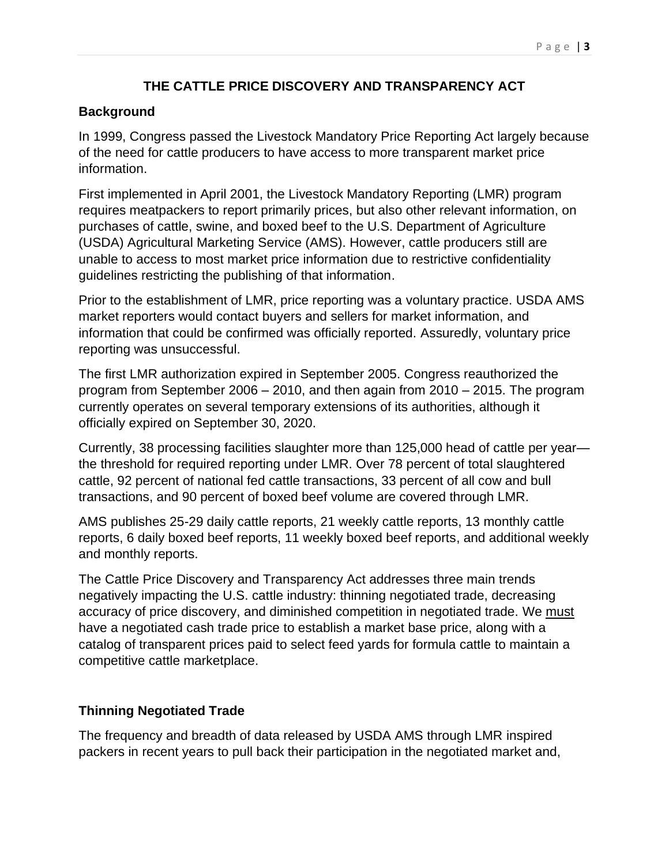## **THE CATTLE PRICE DISCOVERY AND TRANSPARENCY ACT**

## **Background**

In 1999, Congress passed the Livestock Mandatory Price Reporting Act largely because of the need for cattle producers to have access to more transparent market price information.

First implemented in April 2001, the Livestock Mandatory Reporting (LMR) program requires meatpackers to report primarily prices, but also other relevant information, on purchases of cattle, swine, and boxed beef to the U.S. Department of Agriculture (USDA) Agricultural Marketing Service (AMS). However, cattle producers still are unable to access to most market price information due to restrictive confidentiality guidelines restricting the publishing of that information.

Prior to the establishment of LMR, price reporting was a voluntary practice. USDA AMS market reporters would contact buyers and sellers for market information, and information that could be confirmed was officially reported. Assuredly, voluntary price reporting was unsuccessful.

The first LMR authorization expired in September 2005. Congress reauthorized the program from September 2006 – 2010, and then again from 2010 – 2015. The program currently operates on several temporary extensions of its authorities, although it officially expired on September 30, 2020.

Currently, 38 processing facilities slaughter more than 125,000 head of cattle per year the threshold for required reporting under LMR. Over 78 percent of total slaughtered cattle, 92 percent of national fed cattle transactions, 33 percent of all cow and bull transactions, and 90 percent of boxed beef volume are covered through LMR.

AMS publishes 25-29 daily cattle reports, 21 weekly cattle reports, 13 monthly cattle reports, 6 daily boxed beef reports, 11 weekly boxed beef reports, and additional weekly and monthly reports.

The Cattle Price Discovery and Transparency Act addresses three main trends negatively impacting the U.S. cattle industry: thinning negotiated trade, decreasing accuracy of price discovery, and diminished competition in negotiated trade. We must have a negotiated cash trade price to establish a market base price, along with a catalog of transparent prices paid to select feed yards for formula cattle to maintain a competitive cattle marketplace.

# **Thinning Negotiated Trade**

The frequency and breadth of data released by USDA AMS through LMR inspired packers in recent years to pull back their participation in the negotiated market and,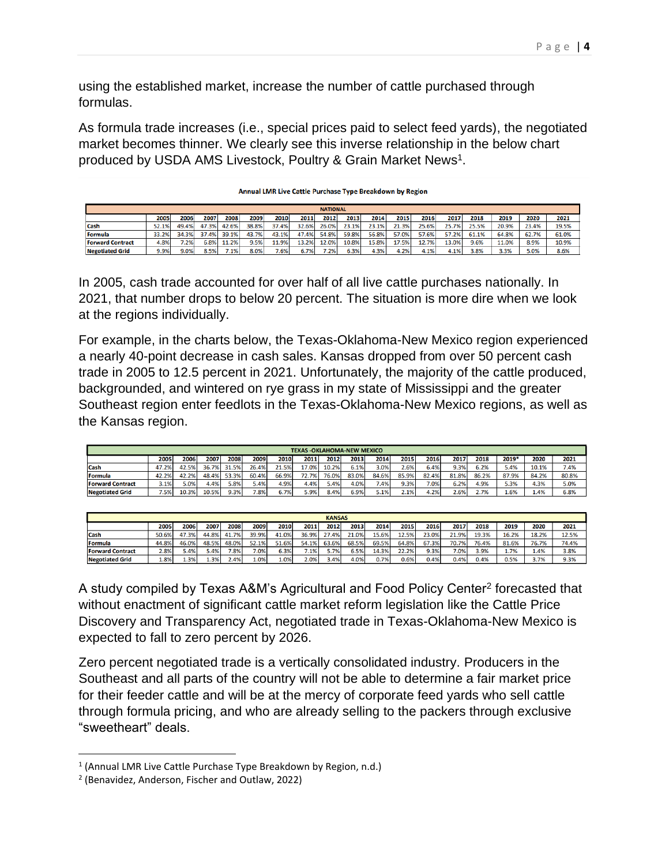using the established market, increase the number of cattle purchased through formulas.

As formula trade increases (i.e., special prices paid to select feed yards), the negotiated market becomes thinner. We clearly see this inverse relationship in the below chart produced by USDA AMS Livestock, Poultry & Grain Market News<sup>1</sup>.

|                         | Annual LMR Live Cattle Purchase Type Breakdown by Region |       |       |       |       |       |       |       |       |       |       |       |       |       |       |       |       |
|-------------------------|----------------------------------------------------------|-------|-------|-------|-------|-------|-------|-------|-------|-------|-------|-------|-------|-------|-------|-------|-------|
|                         | <b>NATIONAL</b>                                          |       |       |       |       |       |       |       |       |       |       |       |       |       |       |       |       |
|                         | 2005                                                     | 2006  | 2007  | 2008  | 2009  | 2010  | 2011  | 2012  | 2013  | 2014  | 2015  | 2016  | 2017  | 2018  | 2019  | 2020  | 2021  |
| Cash                    | 52.1%                                                    | 49.4% | 47.3% | 42.6% | 38.8% | 37.4% | 32.6% | 26.0% | 23.1% | 23.1% | 21.3% | 25.6% | 25.7% | 25.5% | 20.9% | 23.4% | 19.5% |
| Formula                 | 33.2%                                                    | 34.3% | 37.4% | 39.1% | 43.7% | 43.1% | 47.4% | 54.8% | 59.8% | 56.8% | 57.0% | 57.6% | 57.2% | 61.1% | 64.8% | 62.7% | 61.0% |
| <b>Forward Contract</b> | 4.8%                                                     | 7.2%  | 6.8%  | 11.2% | 9.5%  | 11.9% | 13.2% | 12.0% | 10.8% | 15.8% | 17.5% | 12.7% | 13.0% | 9.6%  | 11.0% | 8.9%  | 10.9% |
| <b>Negotiated Grid</b>  | 9.9%                                                     | 9.0%  | 8.5%  | 7.1%  | 8.0%  | 7.6%  | 6.7%  | 7.2%  | 6.3%  | 4.3%  | 4.2%  | 4.1%  | 4.1%  | 3.8%  | 3.3%  | 5.0%  | 8.6%  |

In 2005, cash trade accounted for over half of all live cattle purchases nationally. In 2021, that number drops to below 20 percent. The situation is more dire when we look at the regions individually.

For example, in the charts below, the Texas-Oklahoma-New Mexico region experienced a nearly 40-point decrease in cash sales. Kansas dropped from over 50 percent cash trade in 2005 to 12.5 percent in 2021. Unfortunately, the majority of the cattle produced, backgrounded, and wintered on rye grass in my state of Mississippi and the greater Southeast region enter feedlots in the Texas-Oklahoma-New Mexico regions, as well as the Kansas region.

| <b>TEXAS - OKLAHOMA-NEW MEXICO</b> |       |       |       |       |         |       |       |       |       |       |       |         |       |       |       |       |       |
|------------------------------------|-------|-------|-------|-------|---------|-------|-------|-------|-------|-------|-------|---------|-------|-------|-------|-------|-------|
|                                    | 2005  | 2006  | 2007  | 2008  | 2009    | 2010  | 2011  | 2012  | 2013  | 2014  | 2015  | 2016    | 2017  | 2018  | 2019* | 2020  | 2021  |
| <b>Cash</b>                        | 47.2% | 42.5% | 36.7% | 31.5% | 26.4%   | 21.5% | 17.0% | 10.2% | 6.1%  | 3.0%  | 2.6%  | 6.4%    | 9.3%  | 6.2%  | 5.4%  | 10.1% | 7.4%  |
| <b>IFormula</b>                    | 42.2% | 42.2% | 48.4% | 53.3% | 60.4%   | 66.9% | 72.7% | 76.0% | 83.0% | 84.6% | 85.9% | 82.4%   | 81.8% | 86.2% | 87.9% | 84.2% | 80.8% |
| <b>Forward Contract</b>            | 3.1%  | 5.0%  | 4.4%  | 5.8%  | 5.4%    | 4.9%  | 4.4%  | 5.4%  | 4.0%  | 7.4%  | 9.3%  | $7.0\%$ | 6.2%  | 4.9%  | 5.3%  | 4.3%  | 5.0%  |
| <b>Negotiated Grid</b>             | 7.5%  | 10.3% | 10.5% | 9.3%  | $7.8\%$ | 6.7%  | 5.9%  | 8.4%  | 6.9%  | 5.1%  | 2.1%  | 4.2%    | 2.6%  | 2.7%  | 1.6%  | 1.4%  | 6.8%  |

|                         | <b>KANSAS</b> |       |       |       |       |         |       |       |       |       |       |       |         |       |       |       |       |
|-------------------------|---------------|-------|-------|-------|-------|---------|-------|-------|-------|-------|-------|-------|---------|-------|-------|-------|-------|
|                         | 2005          | 2006  | 2007  | 2008  | 2009  | 2010    | 2011  | 2012  | 2013  | 2014  | 2015  | 2016  | 2017    | 2018  | 2019  | 2020  | 2021  |
| <b>Cash</b>             | 50.6%         | 47.3% | 44.8% | 41.7% | 39.9% | 41.0%   | 36.9% | 27.4% | 21.0% | 15.6% | 12.5% | 23.0% | 21.9%   | 19.3% | 16.2% | 18.2% | 12.5% |
| <b>Formula</b>          | 44.8%         | 46.0% | 48.5% | 48.0% | 52.1% | 51.6%   | 54.1% | 63.6% | 68.5% | 69.5% | 64.8% | 67.3% | 70.7%   | 76.4% | 81.6% | 76.7% | 74.4% |
| <b>Forward Contract</b> | 2.8%          | 5.4%  | 5.4%  | 7.8%  | 7.0%  | 6.3%    | 7.1%  | 5.7%  | 6.5%  | 14.3% | 22.2% | 9.3%  | $7.0\%$ | 3.9%  | 1.7%  | 1.4%  | 3.8%  |
| <b>Negotiated Grid</b>  | 1.8%          | 1.3%  | 1.3%  | 2.4%  | 1.0%  | $1.0\%$ | 2.0%  | 3.4%  | 4.0%  | 0.7%  | 0.6%  | 0.4%  | 0.4%    | 0.4%  | 0.5%  | 3.7%  | 9.3%  |

A study compiled by Texas A&M's Agricultural and Food Policy Center<sup>2</sup> forecasted that without enactment of significant cattle market reform legislation like the Cattle Price Discovery and Transparency Act, negotiated trade in Texas-Oklahoma-New Mexico is expected to fall to zero percent by 2026.

Zero percent negotiated trade is a vertically consolidated industry. Producers in the Southeast and all parts of the country will not be able to determine a fair market price for their feeder cattle and will be at the mercy of corporate feed yards who sell cattle through formula pricing, and who are already selling to the packers through exclusive "sweetheart" deals.

<sup>&</sup>lt;sup>1</sup> (Annual LMR Live Cattle Purchase Type Breakdown by Region, n.d.)

<sup>2</sup> (Benavidez, Anderson, Fischer and Outlaw, 2022)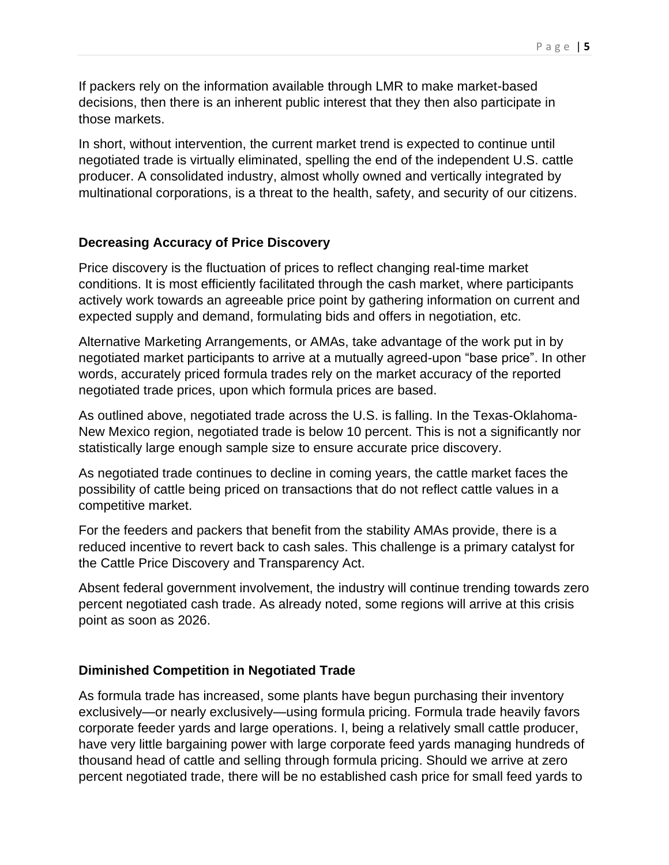If packers rely on the information available through LMR to make market-based decisions, then there is an inherent public interest that they then also participate in those markets.

In short, without intervention, the current market trend is expected to continue until negotiated trade is virtually eliminated, spelling the end of the independent U.S. cattle producer. A consolidated industry, almost wholly owned and vertically integrated by multinational corporations, is a threat to the health, safety, and security of our citizens.

#### **Decreasing Accuracy of Price Discovery**

Price discovery is the fluctuation of prices to reflect changing real-time market conditions. It is most efficiently facilitated through the cash market, where participants actively work towards an agreeable price point by gathering information on current and expected supply and demand, formulating bids and offers in negotiation, etc.

Alternative Marketing Arrangements, or AMAs, take advantage of the work put in by negotiated market participants to arrive at a mutually agreed-upon "base price". In other words, accurately priced formula trades rely on the market accuracy of the reported negotiated trade prices, upon which formula prices are based.

As outlined above, negotiated trade across the U.S. is falling. In the Texas-Oklahoma-New Mexico region, negotiated trade is below 10 percent. This is not a significantly nor statistically large enough sample size to ensure accurate price discovery.

As negotiated trade continues to decline in coming years, the cattle market faces the possibility of cattle being priced on transactions that do not reflect cattle values in a competitive market.

For the feeders and packers that benefit from the stability AMAs provide, there is a reduced incentive to revert back to cash sales. This challenge is a primary catalyst for the Cattle Price Discovery and Transparency Act.

Absent federal government involvement, the industry will continue trending towards zero percent negotiated cash trade. As already noted, some regions will arrive at this crisis point as soon as 2026.

#### **Diminished Competition in Negotiated Trade**

As formula trade has increased, some plants have begun purchasing their inventory exclusively—or nearly exclusively—using formula pricing. Formula trade heavily favors corporate feeder yards and large operations. I, being a relatively small cattle producer, have very little bargaining power with large corporate feed yards managing hundreds of thousand head of cattle and selling through formula pricing. Should we arrive at zero percent negotiated trade, there will be no established cash price for small feed yards to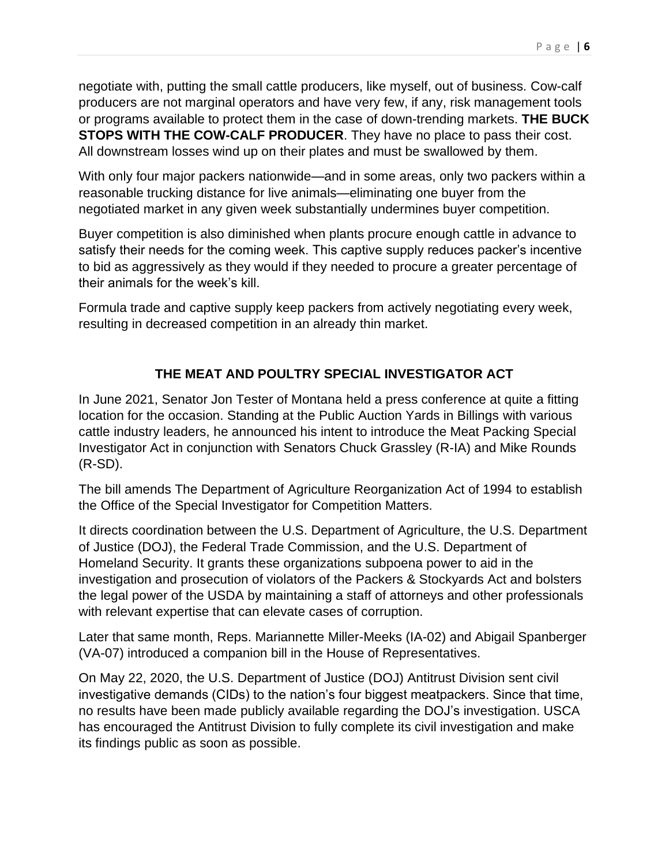negotiate with, putting the small cattle producers, like myself, out of business. Cow-calf producers are not marginal operators and have very few, if any, risk management tools or programs available to protect them in the case of down-trending markets. **THE BUCK STOPS WITH THE COW-CALF PRODUCER**. They have no place to pass their cost. All downstream losses wind up on their plates and must be swallowed by them.

With only four major packers nationwide—and in some areas, only two packers within a reasonable trucking distance for live animals—eliminating one buyer from the negotiated market in any given week substantially undermines buyer competition.

Buyer competition is also diminished when plants procure enough cattle in advance to satisfy their needs for the coming week. This captive supply reduces packer's incentive to bid as aggressively as they would if they needed to procure a greater percentage of their animals for the week's kill.

Formula trade and captive supply keep packers from actively negotiating every week, resulting in decreased competition in an already thin market.

# **THE MEAT AND POULTRY SPECIAL INVESTIGATOR ACT**

In June 2021, Senator Jon Tester of Montana held a press conference at quite a fitting location for the occasion. Standing at the Public Auction Yards in Billings with various cattle industry leaders, he announced his intent to introduce the Meat Packing Special Investigator Act in conjunction with Senators Chuck Grassley (R-IA) and Mike Rounds (R-SD).

The bill amends The Department of Agriculture Reorganization Act of 1994 to establish the Office of the Special Investigator for Competition Matters.

It directs coordination between the U.S. Department of Agriculture, the U.S. Department of Justice (DOJ), the Federal Trade Commission, and the U.S. Department of Homeland Security. It grants these organizations subpoena power to aid in the investigation and prosecution of violators of the Packers & Stockyards Act and bolsters the legal power of the USDA by maintaining a staff of attorneys and other professionals with relevant expertise that can elevate cases of corruption.

Later that same month, Reps. Mariannette Miller-Meeks (IA-02) and Abigail Spanberger (VA-07) introduced a companion bill in the House of Representatives.

On May 22, 2020, the U.S. Department of Justice (DOJ) Antitrust Division sent civil investigative demands (CIDs) to the nation's four biggest meatpackers. Since that time, no results have been made publicly available regarding the DOJ's investigation. USCA has encouraged the Antitrust Division to fully complete its civil investigation and make its findings public as soon as possible.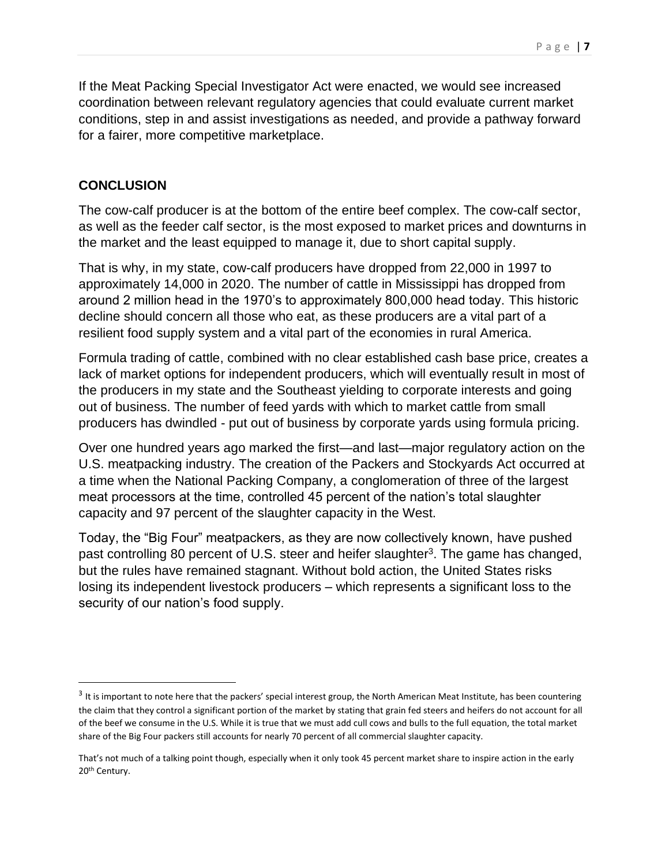If the Meat Packing Special Investigator Act were enacted, we would see increased coordination between relevant regulatory agencies that could evaluate current market conditions, step in and assist investigations as needed, and provide a pathway forward for a fairer, more competitive marketplace.

## **CONCLUSION**

The cow-calf producer is at the bottom of the entire beef complex. The cow-calf sector, as well as the feeder calf sector, is the most exposed to market prices and downturns in the market and the least equipped to manage it, due to short capital supply.

That is why, in my state, cow-calf producers have dropped from 22,000 in 1997 to approximately 14,000 in 2020. The number of cattle in Mississippi has dropped from around 2 million head in the 1970's to approximately 800,000 head today. This historic decline should concern all those who eat, as these producers are a vital part of a resilient food supply system and a vital part of the economies in rural America.

Formula trading of cattle, combined with no clear established cash base price, creates a lack of market options for independent producers, which will eventually result in most of the producers in my state and the Southeast yielding to corporate interests and going out of business. The number of feed yards with which to market cattle from small producers has dwindled - put out of business by corporate yards using formula pricing.

Over one hundred years ago marked the first—and last—major regulatory action on the U.S. meatpacking industry. The creation of the Packers and Stockyards Act occurred at a time when the National Packing Company, a conglomeration of three of the largest meat processors at the time, controlled 45 percent of the nation's total slaughter capacity and 97 percent of the slaughter capacity in the West.

Today, the "Big Four" meatpackers, as they are now collectively known, have pushed past controlling 80 percent of U.S. steer and heifer slaughter<sup>3</sup>. The game has changed, but the rules have remained stagnant. Without bold action, the United States risks losing its independent livestock producers – which represents a significant loss to the security of our nation's food supply.

 $^3$  It is important to note here that the packers' special interest group, the North American Meat Institute, has been countering the claim that they control a significant portion of the market by stating that grain fed steers and heifers do not account for all of the beef we consume in the U.S. While it is true that we must add cull cows and bulls to the full equation, the total market share of the Big Four packers still accounts for nearly 70 percent of all commercial slaughter capacity.

That's not much of a talking point though, especially when it only took 45 percent market share to inspire action in the early 20th Century.